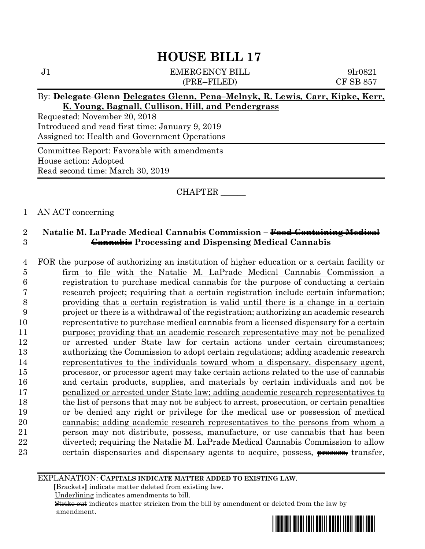J1 **EMERGENCY BILL** 9lr0821 (PRE–FILED) CF SB 857

#### By: **Delegate Glenn Delegates Glenn, Pena–Melnyk, R. Lewis, Carr, Kipke, Kerr, K. Young, Bagnall, Cullison, Hill, and Pendergrass**

Requested: November 20, 2018 Introduced and read first time: January 9, 2019 Assigned to: Health and Government Operations

Committee Report: Favorable with amendments House action: Adopted Read second time: March 30, 2019

#### CHAPTER \_\_\_\_\_\_

#### 1 AN ACT concerning

### 2 **Natalie M. LaPrade Medical Cannabis Commission – Food Containing Medical**  3 **Cannabis Processing and Dispensing Medical Cannabis**

 FOR the purpose of authorizing an institution of higher education or a certain facility or firm to file with the Natalie M. LaPrade Medical Cannabis Commission a registration to purchase medical cannabis for the purpose of conducting a certain research project; requiring that a certain registration include certain information; providing that a certain registration is valid until there is a change in a certain project or there is a withdrawal of the registration; authorizing an academic research representative to purchase medical cannabis from a licensed dispensary for a certain purpose; providing that an academic research representative may not be penalized or arrested under State law for certain actions under certain circumstances; authorizing the Commission to adopt certain regulations; adding academic research representatives to the individuals toward whom a dispensary, dispensary agent, processor, or processor agent may take certain actions related to the use of cannabis and certain products, supplies, and materials by certain individuals and not be penalized or arrested under State law; adding academic research representatives to the list of persons that may not be subject to arrest, prosecution, or certain penalties or be denied any right or privilege for the medical use or possession of medical cannabis; adding academic research representatives to the persons from whom a person may not distribute, possess, manufacture, or use cannabis that has been 22 diverted; requiring the Natalie M. LaPrade Medical Cannabis Commission to allow 23 certain dispensaries and dispensary agents to acquire, possess, process, transfer,

#### EXPLANATION: **CAPITALS INDICATE MATTER ADDED TO EXISTING LAW**.

 **[**Brackets**]** indicate matter deleted from existing law.

Underlining indicates amendments to bill.

 Strike out indicates matter stricken from the bill by amendment or deleted from the law by amendment.

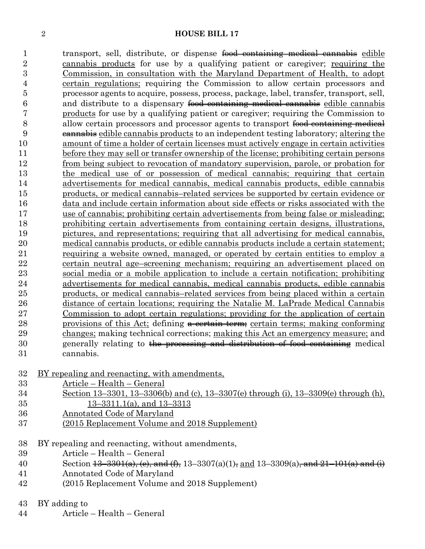1 transport, sell, distribute, or dispense food containing medical cannabis edible cannabis products for use by a qualifying patient or caregiver; requiring the Commission, in consultation with the Maryland Department of Health, to adopt certain regulations; requiring the Commission to allow certain processors and processor agents to acquire, possess, process, package, label, transfer, transport, sell, 6 and distribute to a dispensary food containing medical cannabis edible cannabis products for use by a qualifying patient or caregiver; requiring the Commission to 8 allow certain processors and processor agents to transport <del>food containing medical</del> cannabis edible cannabis products to an independent testing laboratory; altering the amount of time a holder of certain licenses must actively engage in certain activities before they may sell or transfer ownership of the license; prohibiting certain persons from being subject to revocation of mandatory supervision, parole, or probation for the medical use of or possession of medical cannabis; requiring that certain advertisements for medical cannabis, medical cannabis products, edible cannabis products, or medical cannabis–related services be supported by certain evidence or data and include certain information about side effects or risks associated with the use of cannabis; prohibiting certain advertisements from being false or misleading; prohibiting certain advertisements from containing certain designs, illustrations, pictures, and representations; requiring that all advertising for medical cannabis, 20 medical cannabis products, or edible cannabis products include a certain statement; requiring a website owned, managed, or operated by certain entities to employ a certain neutral age–screening mechanism; requiring an advertisement placed on social media or a mobile application to include a certain notification; prohibiting advertisements for medical cannabis, medical cannabis products, edible cannabis products, or medical cannabis–related services from being placed within a certain distance of certain locations; requiring the Natalie M. LaPrade Medical Cannabis Commission to adopt certain regulations; providing for the application of certain 28 provisions of this Act; defining a certain term; certain terms; making conforming changes; making technical corrections; making this Act an emergency measure; and 30 generally relating to the processing and distribution of food containing medical cannabis.

- BY repealing and reenacting, with amendments,
- Article Health General
- Section 13–3301, 13–3306(b) and (c), 13–3307(e) through (i), 13–3309(e) through (h),
- 13–3311.1(a), and 13–3313
- Annotated Code of Maryland
- (2015 Replacement Volume and 2018 Supplement)
- BY repealing and reenacting, without amendments,
- Article Health General
- 40 Section  $\frac{13-3301(a)}{(e)}$ ,  $\frac{(e)}{2}$ , and  $\frac{(f)}{2}$ , 13-3307(a)(1), and 13-3309(a), and 21-101(a) and (i)
- Annotated Code of Maryland
- (2015 Replacement Volume and 2018 Supplement)
- BY adding to
- Article Health General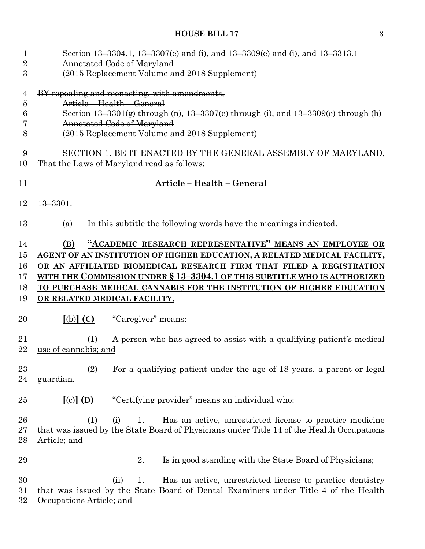| $\mathbf{1}$   | Section 13–3304.1, 13–3307(e) and (i), and 13–3309(e) and (i), and 13–3313.1              |  |  |
|----------------|-------------------------------------------------------------------------------------------|--|--|
| $\overline{2}$ | Annotated Code of Maryland                                                                |  |  |
| 3              | (2015 Replacement Volume and 2018 Supplement)                                             |  |  |
| 4              | BY repealing and reenacting, with amendments,                                             |  |  |
| 5              | Article - Health - General                                                                |  |  |
| 6              | Section $13-3301(g)$ through (n), $13-3307(e)$ through (i), and $13-3309(e)$ through (h)  |  |  |
| 7              | <b>Annotated Code of Maryland</b>                                                         |  |  |
| 8              | (2015 Replacement Volume and 2018 Supplement)                                             |  |  |
| 9              | SECTION 1. BE IT ENACTED BY THE GENERAL ASSEMBLY OF MARYLAND,                             |  |  |
| 10             | That the Laws of Maryland read as follows:                                                |  |  |
| 11             | Article - Health - General                                                                |  |  |
| 12             | $13 - 3301.$                                                                              |  |  |
|                |                                                                                           |  |  |
| 13             | In this subtitle the following words have the meanings indicated.<br>(a)                  |  |  |
| 14             | "ACADEMIC RESEARCH REPRESENTATIVE" MEANS AN EMPLOYEE OR<br>(B)                            |  |  |
| $15\,$         | AGENT OF AN INSTITUTION OF HIGHER EDUCATION, A RELATED MEDICAL FACILITY,                  |  |  |
| 16             | OR AN AFFILIATED BIOMEDICAL RESEARCH FIRM THAT FILED A REGISTRATION                       |  |  |
| 17             | WITH THE COMMISSION UNDER § 13-3304.1 OF THIS SUBTITLE WHO IS AUTHORIZED                  |  |  |
| 18             | TO PURCHASE MEDICAL CANNABIS FOR THE INSTITUTION OF HIGHER EDUCATION                      |  |  |
| 19             | OR RELATED MEDICAL FACILITY.                                                              |  |  |
| 20             | $[(b)]$ $(C)$<br>"Caregiver" means:                                                       |  |  |
|                |                                                                                           |  |  |
| 21             | <u>A person who has agreed to assist with a qualifying patient's medical</u><br>(1)       |  |  |
| 22             | use of cannabis; and                                                                      |  |  |
|                |                                                                                           |  |  |
| $^{23}$        | (2)<br>For a qualifying patient under the age of 18 years, a parent or legal              |  |  |
| 24             | guardian.                                                                                 |  |  |
| 25             | $[(c)]$ $(D)$<br>"Certifying provider" means an individual who:                           |  |  |
| 26             | <u>Has an active, unrestricted license to practice medicine</u><br>(1)<br>(i)<br>1.       |  |  |
| $27\,$         | that was issued by the State Board of Physicians under Title 14 of the Health Occupations |  |  |
| 28             | <u>Article; and</u>                                                                       |  |  |
|                |                                                                                           |  |  |
| 29             | Is in good standing with the State Board of Physicians;<br>2.                             |  |  |
| 30             | 1.<br><u>Has an active, unrestricted license to practice dentistry</u><br>(ii)            |  |  |
| 31             | that was issued by the State Board of Dental Examiners under Title 4 of the Health        |  |  |
| $32\,$         | Occupations Article; and                                                                  |  |  |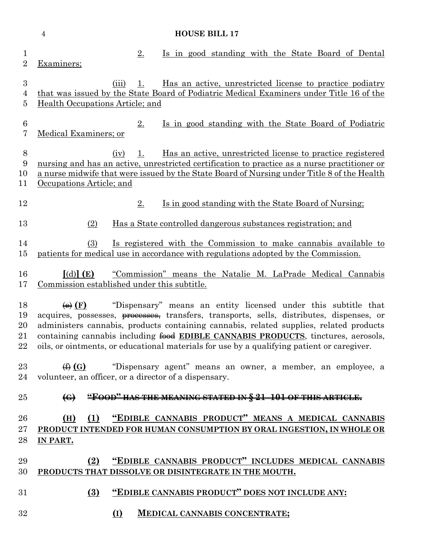|                                   | $\overline{4}$<br><b>HOUSE BILL 17</b>                                                                                                                                                                                                                                                                                                                                                                                                                                      |
|-----------------------------------|-----------------------------------------------------------------------------------------------------------------------------------------------------------------------------------------------------------------------------------------------------------------------------------------------------------------------------------------------------------------------------------------------------------------------------------------------------------------------------|
| $\mathbf{1}$<br>$\overline{2}$    | 2.<br>Is in good standing with the State Board of Dental<br>Examiners;                                                                                                                                                                                                                                                                                                                                                                                                      |
| 3<br>4<br>5                       | Has an active, unrestricted license to practice podiatry<br>(iii)<br>1.<br>that was issued by the State Board of Podiatric Medical Examiners under Title 16 of the<br>Health Occupations Article; and                                                                                                                                                                                                                                                                       |
| $\,6$<br>7                        | Is in good standing with the State Board of Podiatric<br>$2_{\cdot}$<br>Medical Examiners; or                                                                                                                                                                                                                                                                                                                                                                               |
| $\boldsymbol{8}$<br>9<br>10<br>11 | <u>Has an active, unrestricted license to practice registered</u><br>1.<br>(iv)<br>nursing and has an active, unrestricted certification to practice as a nurse practitioner or<br>a nurse midwife that were issued by the State Board of Nursing under Title 8 of the Health<br>Occupations Article; and                                                                                                                                                                   |
| 12                                | 2.<br>Is in good standing with the State Board of Nursing;                                                                                                                                                                                                                                                                                                                                                                                                                  |
| 13                                | Has a State controlled dangerous substances registration; and<br>(2)                                                                                                                                                                                                                                                                                                                                                                                                        |
| 14<br>15                          | <u>Is registered with the Commission to make cannabis available to</u><br>(3)<br>patients for medical use in accordance with regulations adopted by the Commission.                                                                                                                                                                                                                                                                                                         |
| 16<br>17                          | $\lceil$ (d) $\rceil$ (E)<br>"Commission" means the Natalie M. LaPrade Medical Cannabis<br>Commission established under this subtitle.                                                                                                                                                                                                                                                                                                                                      |
| 18<br>19<br>20<br>21<br>$22\,$    | "Dispensary" means an entity licensed under this subtitle that<br>$\leftrightarrow$ (F)<br>acquires, possesses, <del>processes,</del> transfers, transports, sells, distributes, dispenses, or<br>administers cannabis, products containing cannabis, related supplies, related products<br>containing cannabis including food EDIBLE CANNABIS PRODUCTS, tinctures, aerosols,<br>oils, or ointments, or educational materials for use by a qualifying patient or caregiver. |
| 23<br>24                          | $\bigoplus$ (G) "Dispensary agent" means an owner, a member, an employee, a<br>volunteer, an officer, or a director of a dispensary.                                                                                                                                                                                                                                                                                                                                        |
| 25                                | "FOOD" HAS THE MEANING STATED IN § 21-101 OF THIS ARTICLE.<br>$\bigoplus$                                                                                                                                                                                                                                                                                                                                                                                                   |
| 26<br>$27\,$<br>28                | "EDIBLE CANNABIS PRODUCT" MEANS A MEDICAL CANNABIS<br>(1)<br>(H)<br>PRODUCT INTENDED FOR HUMAN CONSUMPTION BY ORAL INGESTION, IN WHOLE OR<br>IN PART.                                                                                                                                                                                                                                                                                                                       |
| 29<br>30                          | "EDIBLE CANNABIS PRODUCT" INCLUDES MEDICAL CANNABIS<br>(2)<br>PRODUCTS THAT DISSOLVE OR DISINTEGRATE IN THE MOUTH.                                                                                                                                                                                                                                                                                                                                                          |
| $31\,$                            | $\left(3\right)$<br>"EDIBLE CANNABIS PRODUCT" DOES NOT INCLUDE ANY:                                                                                                                                                                                                                                                                                                                                                                                                         |
| 32                                | $\Omega$<br><b>MEDICAL CANNABIS CONCENTRATE;</b>                                                                                                                                                                                                                                                                                                                                                                                                                            |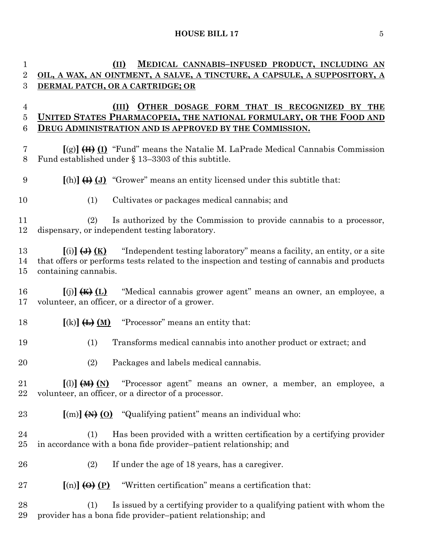| $\mathbf 1$                      | <b>MEDICAL CANNABIS-INFUSED PRODUCT, INCLUDING AN</b><br>(II)                                                                                                                                                                  |
|----------------------------------|--------------------------------------------------------------------------------------------------------------------------------------------------------------------------------------------------------------------------------|
| $\overline{2}$                   | OIL, A WAX, AN OINTMENT, A SALVE, A TINCTURE, A CAPSULE, A SUPPOSITORY, A                                                                                                                                                      |
| 3                                | DERMAL PATCH, OR A CARTRIDGE; OR                                                                                                                                                                                               |
| $\overline{4}$<br>$\overline{5}$ | OTHER DOSAGE FORM THAT IS RECOGNIZED BY THE<br>(III)<br>UNITED STATES PHARMACOPEIA, THE NATIONAL FORMULARY, OR THE FOOD AND                                                                                                    |
| 6                                | <b>DRUG ADMINISTRATION AND IS APPROVED BY THE COMMISSION.</b>                                                                                                                                                                  |
| 7<br>8                           | $[(g)]$ $(H)$ $(I)$ "Fund" means the Natalie M. LaPrade Medical Cannabis Commission<br>Fund established under § 13-3303 of this subtitle.                                                                                      |
| 9                                | $\left[\text{(h)}\right] \leftrightarrow$ (J) "Grower" means an entity licensed under this subtitle that:                                                                                                                      |
| 10                               | (1)<br>Cultivates or packages medical cannabis; and                                                                                                                                                                            |
| 11<br>12                         | Is authorized by the Commission to provide cannabis to a processor,<br>(2)<br>dispensary, or independent testing laboratory.                                                                                                   |
| 13<br>14<br>15                   | "Independent testing laboratory" means a facility, an entity, or a site<br>$[(i)] \leftrightarrow (K)$<br>that offers or performs tests related to the inspection and testing of cannabis and products<br>containing cannabis. |
| 16<br>17                         | "Medical cannabis grower agent" means an owner, an employee, a<br>$[(j)]$ $(H)$ $(L)$<br>volunteer, an officer, or a director of a grower.                                                                                     |
| 18                               | $[(k)]$ $\leftrightarrow$ $\underline{M}$<br>"Processor" means an entity that:                                                                                                                                                 |
| 19                               | (1)<br>Transforms medical cannabis into another product or extract; and                                                                                                                                                        |
| 20                               | (2)<br>Packages and labels medical cannabis.                                                                                                                                                                                   |
| 21<br>22                         | $[(1)]$ $(M)$ $(N)$ "Processor agent" means an owner, a member, an employee, a<br>volunteer, an officer, or a director of a processor.                                                                                         |
| 23                               | $[(m)]$ $(M)$ $(0)$ "Qualifying patient" means an individual who:                                                                                                                                                              |
| 24<br>$25\,$                     | Has been provided with a written certification by a certifying provider<br>(1)<br>in accordance with a bona fide provider-patient relationship; and                                                                            |
| 26                               | (2)<br>If under the age of 18 years, has a caregiver.                                                                                                                                                                          |
| 27                               | $[n] \bigoplus (P)$<br>"Written certification" means a certification that:                                                                                                                                                     |
| 28<br>29                         | Is issued by a certifying provider to a qualifying patient with whom the<br>(1)<br>provider has a bona fide provider-patient relationship; and                                                                                 |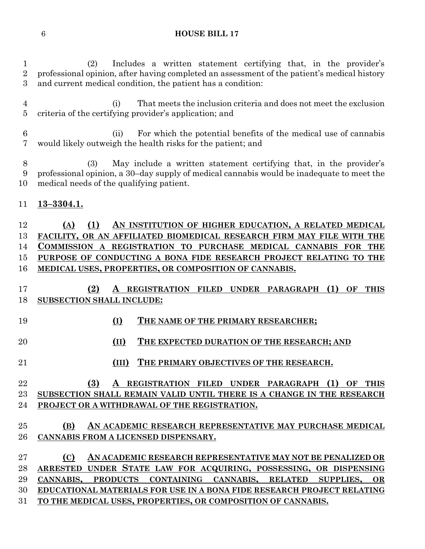(2) Includes a written statement certifying that, in the provider's professional opinion, after having completed an assessment of the patient's medical history and current medical condition, the patient has a condition:

 (i) That meets the inclusion criteria and does not meet the exclusion criteria of the certifying provider's application; and

 (ii) For which the potential benefits of the medical use of cannabis would likely outweigh the health risks for the patient; and

 (3) May include a written statement certifying that, in the provider's professional opinion, a 30–day supply of medical cannabis would be inadequate to meet the medical needs of the qualifying patient.

#### **13–3304.1.**

 **(A) (1) AN INSTITUTION OF HIGHER EDUCATION, A RELATED MEDICAL FACILITY, OR AN AFFILIATED BIOMEDICAL RESEARCH FIRM MAY FILE WITH THE COMMISSION A REGISTRATION TO PURCHASE MEDICAL CANNABIS FOR THE PURPOSE OF CONDUCTING A BONA FIDE RESEARCH PROJECT RELATING TO THE MEDICAL USES, PROPERTIES, OR COMPOSITION OF CANNABIS.**

- **(2) A REGISTRATION FILED UNDER PARAGRAPH (1) OF THIS SUBSECTION SHALL INCLUDE:**
- 
- **(I) THE NAME OF THE PRIMARY RESEARCHER;**
- **(II) THE EXPECTED DURATION OF THE RESEARCH; AND**
- **(III) THE PRIMARY OBJECTIVES OF THE RESEARCH.**

# **(3) A REGISTRATION FILED UNDER PARAGRAPH (1) OF THIS SUBSECTION SHALL REMAIN VALID UNTIL THERE IS A CHANGE IN THE RESEARCH PROJECT OR A WITHDRAWAL OF THE REGISTRATION.**

# **(B) AN ACADEMIC RESEARCH REPRESENTATIVE MAY PURCHASE MEDICAL CANNABIS FROM A LICENSED DISPENSARY.**

 **(C) AN ACADEMIC RESEARCH REPRESENTATIVE MAY NOT BE PENALIZED OR ARRESTED UNDER STATE LAW FOR ACQUIRING, POSSESSING, OR DISPENSING CANNABIS, PRODUCTS CONTAINING CANNABIS, RELATED SUPPLIES, OR EDUCATIONAL MATERIALS FOR USE IN A BONA FIDE RESEARCH PROJECT RELATING TO THE MEDICAL USES, PROPERTIES, OR COMPOSITION OF CANNABIS.**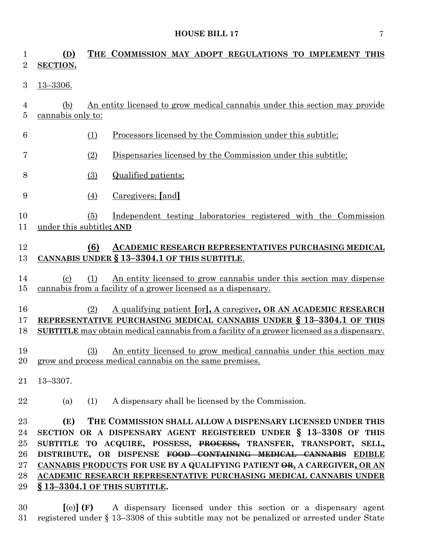| $\mathbf{1}$<br>$\overline{2}$             | (D)<br>SECTION.             |     | THE COMMISSION MAY ADOPT REGULATIONS TO IMPLEMENT THIS                                                                                                                                                                                                                                                                                                                                                                                                       |
|--------------------------------------------|-----------------------------|-----|--------------------------------------------------------------------------------------------------------------------------------------------------------------------------------------------------------------------------------------------------------------------------------------------------------------------------------------------------------------------------------------------------------------------------------------------------------------|
| 3                                          | 13-3306.                    |     |                                                                                                                                                                                                                                                                                                                                                                                                                                                              |
| 4<br>5                                     | (b)<br>cannabis only to:    |     | An entity licensed to grow medical cannabis under this section may provide                                                                                                                                                                                                                                                                                                                                                                                   |
| 6                                          |                             | (1) | Processors licensed by the Commission under this subtitle;                                                                                                                                                                                                                                                                                                                                                                                                   |
| 7                                          |                             | (2) | Dispensaries licensed by the Commission under this subtitle;                                                                                                                                                                                                                                                                                                                                                                                                 |
| 8                                          |                             | (3) | Qualified patients;                                                                                                                                                                                                                                                                                                                                                                                                                                          |
| 9                                          |                             | (4) | Caregivers; [and]                                                                                                                                                                                                                                                                                                                                                                                                                                            |
| 10<br>11                                   | under this subtitle; AND    | (5) | Independent testing laboratories registered with the Commission                                                                                                                                                                                                                                                                                                                                                                                              |
| 12<br>13                                   |                             | (6) | ACADEMIC RESEARCH REPRESENTATIVES PURCHASING MEDICAL<br>CANNABIS UNDER § 13-3304.1 OF THIS SUBTITLE.                                                                                                                                                                                                                                                                                                                                                         |
| 14<br>15                                   | $\left( \mathrm{c} \right)$ | (1) | An entity licensed to grow cannabis under this section may dispense<br>cannabis from a facility of a grower licensed as a dispensary.                                                                                                                                                                                                                                                                                                                        |
| 16<br>17<br>18                             |                             | (2) | A qualifying patient [or], A caregiver, OR AN ACADEMIC RESEARCH<br>REPRESENTATIVE PURCHASING MEDICAL CANNABIS UNDER § 13-3304.1 OF THIS<br><b>SUBTITLE</b> may obtain medical cannabis from a facility of a grower licensed as a dispensary.                                                                                                                                                                                                                 |
| 19                                         |                             | (3) | An entity licensed to grow medical cannabis under this section may<br>20 grow and process medical cannabis on the same premises.                                                                                                                                                                                                                                                                                                                             |
| 21                                         | $13 - 3307.$                |     |                                                                                                                                                                                                                                                                                                                                                                                                                                                              |
| 22                                         | (a)                         | (1) | A dispensary shall be licensed by the Commission.                                                                                                                                                                                                                                                                                                                                                                                                            |
| 23<br>24<br>25<br>26<br>$27\,$<br>28<br>29 | (E)                         |     | THE COMMISSION SHALL ALLOW A DISPENSARY LICENSED UNDER THIS<br>SECTION OR A DISPENSARY AGENT REGISTERED UNDER § 13-3308 OF THIS<br>SUBTITLE TO ACQUIRE, POSSESS, PROCESS, TRANSFER, TRANSPORT, SELL,<br>DISTRIBUTE, OR DISPENSE FOOD CONTAINING MEDICAL CANNABIS EDIBLE<br>CANNABIS PRODUCTS FOR USE BY A QUALIFYING PATIENT OR, A CAREGIVER, OR AN<br>ACADEMIC RESEARCH REPRESENTATIVE PURCHASING MEDICAL CANNABIS UNDER<br>$§$ 13-3304.1 OF THIS SUBTITLE. |
|                                            |                             |     |                                                                                                                                                                                                                                                                                                                                                                                                                                                              |

 **[**(e)**] (F)** A dispensary licensed under this section or a dispensary agent registered under § 13–3308 of this subtitle may not be penalized or arrested under State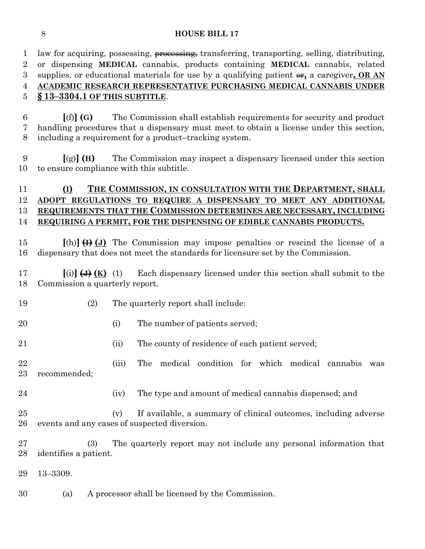1 law for acquiring, possessing, processing, transferring, transporting, selling, distributing, or dispensing **MEDICAL** cannabis, products containing **MEDICAL** cannabis, related 3 supplies, or educational materials for use by a qualifying patient  $\theta$ , a caregiver, **OR AN ACADEMIC RESEARCH REPRESENTATIVE PURCHASING MEDICAL CANNABIS UNDER § 13–3304.1 OF THIS SUBTITLE**.

 **[**(f)**] (G)** The Commission shall establish requirements for security and product handling procedures that a dispensary must meet to obtain a license under this section, including a requirement for a product–tracking system.

 **[**(g)**] (H)** The Commission may inspect a dispensary licensed under this section to ensure compliance with this subtitle.

# **(I) THE COMMISSION, IN CONSULTATION WITH THE DEPARTMENT, SHALL ADOPT REGULATIONS TO REQUIRE A DISPENSARY TO MEET ANY ADDITIONAL REQUIREMENTS THAT THE COMMISSION DETERMINES ARE NECESSARY, INCLUDING REQUIRING A PERMIT, FOR THE DISPENSING OF EDIBLE CANNABIS PRODUCTS.**

 **[**(h)**] (I) (J)** The Commission may impose penalties or rescind the license of a dispensary that does not meet the standards for licensure set by the Commission.

 **[**(i)**] (J) (K)** (1) Each dispensary licensed under this section shall submit to the Commission a quarterly report.

- (2) The quarterly report shall include:
- 20 (i) The number of patients served;
- 21 (ii) The county of residence of each patient served;
- (iii) The medical condition for which medical cannabis was recommended;
- 
- 24 (iv) The type and amount of medical cannabis dispensed; and
- (v) If available, a summary of clinical outcomes, including adverse events and any cases of suspected diversion.
- (3) The quarterly report may not include any personal information that identifies a patient.
- 13–3309.
- (a) A processor shall be licensed by the Commission.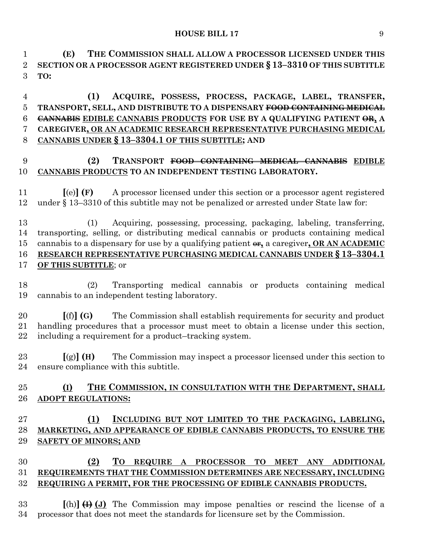**(E) THE COMMISSION SHALL ALLOW A PROCESSOR LICENSED UNDER THIS SECTION OR A PROCESSOR AGENT REGISTERED UNDER § 13–3310 OF THIS SUBTITLE TO:**

 **(1) ACQUIRE, POSSESS, PROCESS, PACKAGE, LABEL, TRANSFER, TRANSPORT, SELL, AND DISTRIBUTE TO A DISPENSARY FOOD CONTAINING MEDICAL CANNABIS EDIBLE CANNABIS PRODUCTS FOR USE BY A QUALIFYING PATIENT OR, A CAREGIVER, OR AN ACADEMIC RESEARCH REPRESENTATIVE PURCHASING MEDICAL CANNABIS UNDER § 13–3304.1 OF THIS SUBTITLE; AND**

#### **(2) TRANSPORT FOOD CONTAINING MEDICAL CANNABIS EDIBLE CANNABIS PRODUCTS TO AN INDEPENDENT TESTING LABORATORY.**

 **[**(e)**] (F)** A processor licensed under this section or a processor agent registered under § 13–3310 of this subtitle may not be penalized or arrested under State law for:

 (1) Acquiring, possessing, processing, packaging, labeling, transferring, transporting, selling, or distributing medical cannabis or products containing medical 15 cannabis to a dispensary for use by a qualifying patient  $\theta$ **<sub>1</sub>**, a caregiver, **OR AN ACADEMIC RESEARCH REPRESENTATIVE PURCHASING MEDICAL CANNABIS UNDER § 13–3304.1 OF THIS SUBTITLE**; or

 (2) Transporting medical cannabis or products containing medical cannabis to an independent testing laboratory.

 **[**(f)**] (G)** The Commission shall establish requirements for security and product handling procedures that a processor must meet to obtain a license under this section, including a requirement for a product–tracking system.

 **[**(g)**] (H)** The Commission may inspect a processor licensed under this section to ensure compliance with this subtitle.

## **(I) THE COMMISSION, IN CONSULTATION WITH THE DEPARTMENT, SHALL ADOPT REGULATIONS:**

# **(1) INCLUDING BUT NOT LIMITED TO THE PACKAGING, LABELING, MARKETING, AND APPEARANCE OF EDIBLE CANNABIS PRODUCTS, TO ENSURE THE SAFETY OF MINORS; AND**

# **(2) TO REQUIRE A PROCESSOR TO MEET ANY ADDITIONAL REQUIREMENTS THAT THE COMMISSION DETERMINES ARE NECESSARY, INCLUDING REQUIRING A PERMIT, FOR THE PROCESSING OF EDIBLE CANNABIS PRODUCTS.**

 **[**(h)**] (I) (J)** The Commission may impose penalties or rescind the license of a processor that does not meet the standards for licensure set by the Commission.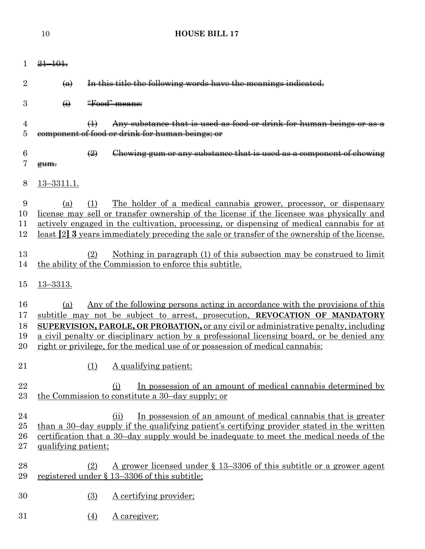| 1.                         | $21 - 101$                |                                                                                                                                                                                                                                                                                                                                                                                                                                                   |
|----------------------------|---------------------------|---------------------------------------------------------------------------------------------------------------------------------------------------------------------------------------------------------------------------------------------------------------------------------------------------------------------------------------------------------------------------------------------------------------------------------------------------|
| $\overline{2}$             | $\left(\mathbf{a}\right)$ | In this title the following words have the meanings indicated.                                                                                                                                                                                                                                                                                                                                                                                    |
| 3                          | $\leftrightarrow$         | "Food" means:                                                                                                                                                                                                                                                                                                                                                                                                                                     |
| 4<br>$\overline{5}$        |                           | Any substance that is used as food or drink for human beings or as a<br>$\bigoplus$<br>component of food or drink for human beings; or                                                                                                                                                                                                                                                                                                            |
| 6<br>7                     | gum.                      | $\left(\frac{2}{2}\right)$<br>Chewing gum or any substance that is used as a component of chewing                                                                                                                                                                                                                                                                                                                                                 |
| 8                          | $13 - 3311.1.$            |                                                                                                                                                                                                                                                                                                                                                                                                                                                   |
| 9<br>10<br>11<br>12        | (a)                       | The holder of a medical cannabis grower, processor, or dispensary<br>(1)<br>license may sell or transfer ownership of the license if the licensee was physically and<br>actively engaged in the cultivation, processing, or dispensing of medical cannabis for at<br>least [2] 3 years immediately preceding the sale or transfer of the ownership of the license.                                                                                |
| 13<br>14                   |                           | Nothing in paragraph (1) of this subsection may be construed to limit<br>(2)<br>the ability of the Commission to enforce this subtitle.                                                                                                                                                                                                                                                                                                           |
| 15                         | $13 - 3313.$              |                                                                                                                                                                                                                                                                                                                                                                                                                                                   |
| 16<br>17<br>18<br>19<br>20 | (a)                       | Any of the following persons acting in accordance with the provisions of this<br>subtitle may not be subject to arrest, prosecution, REVOCATION OF MANDATORY<br><b>SUPERVISION, PAROLE, OR PROBATION, or any civil or administrative penalty, including</b><br>a civil penalty or disciplinary action by a professional licensing board, or be denied any<br><u>right or privilege, for the medical use of or possession of medical cannabis:</u> |
| 21                         |                           | A qualifying patient:<br>(1)                                                                                                                                                                                                                                                                                                                                                                                                                      |
| 22<br>23                   |                           | In possession of an amount of medical cannabis determined by<br>(i)<br>the Commission to constitute a 30-day supply; or                                                                                                                                                                                                                                                                                                                           |
| 24<br>25<br>26<br>27       | qualifying patient;       | In possession of an amount of medical cannabis that is greater<br>(ii)<br>than a 30-day supply if the qualifying patient's certifying provider stated in the written<br>certification that a 30-day supply would be inadequate to meet the medical needs of the                                                                                                                                                                                   |
| 28<br>29                   |                           | <u>A grower licensed under § 13–3306 of this subtitle or a grower agent</u><br>(2)<br>registered under § 13-3306 of this subtitle;                                                                                                                                                                                                                                                                                                                |
| 30                         |                           | (3)<br>A certifying provider;                                                                                                                                                                                                                                                                                                                                                                                                                     |
| 31                         |                           | A caregiver;<br>(4)                                                                                                                                                                                                                                                                                                                                                                                                                               |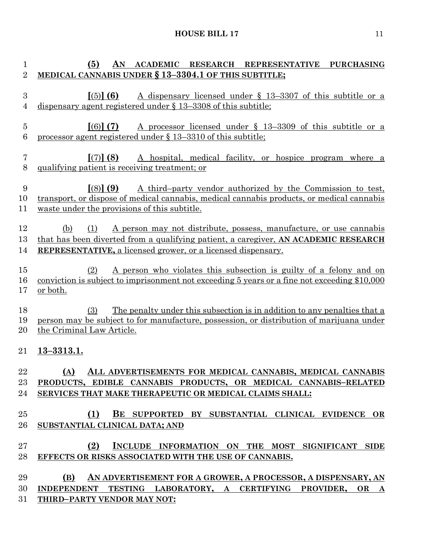| 1                     | AN ACADEMIC RESEARCH REPRESENTATIVE PURCHASING<br>(5)                                                                                                                                                                                          |
|-----------------------|------------------------------------------------------------------------------------------------------------------------------------------------------------------------------------------------------------------------------------------------|
| $\boldsymbol{2}$      | MEDICAL CANNABIS UNDER § 13-3304.1 OF THIS SUBTITLE;                                                                                                                                                                                           |
| $\boldsymbol{3}$<br>4 | $(5)$ (6)<br>A dispensary licensed under $\S$ 13-3307 of this subtitle or a<br>dispensary agent registered under $\S$ 13–3308 of this subtitle;                                                                                                |
| $\overline{5}$<br>6   | $(6)$ (7)<br>A processor licensed under $\S$ 13-3309 of this subtitle or a<br>processor agent registered under § 13-3310 of this subtitle;                                                                                                     |
| $\overline{7}$<br>8   | [(7)] (8)<br>A hospital, medical facility, or hospice program where a<br>qualifying patient is receiving treatment; or                                                                                                                         |
| 9<br>10<br>11         | $(8)$ (9)<br>A third-party vendor authorized by the Commission to test,<br>transport, or dispose of medical cannabis, medical cannabis products, or medical cannabis<br>waste under the provisions of this subtitle.                           |
| 12<br>13<br>14        | A person may not distribute, possess, manufacture, or use cannabis<br>(b)<br>(1)<br>that has been diverted from a qualifying patient, a caregiver, AN ACADEMIC RESEARCH<br><b>REPRESENTATIVE, a licensed grower, or a licensed dispensary.</b> |
| 15<br>16<br>17        | A person who violates this subsection is guilty of a felony and on<br>(2)<br>conviction is subject to imprisonment not exceeding 5 years or a fine not exceeding \$10,000<br><u>or both.</u>                                                   |
| 18<br>19<br>20        | The penalty under this subsection is in addition to any penalties that a<br>(3)<br>person may be subject to for manufacture, possession, or distribution of marijuana under<br>the Criminal Law Article.                                       |
| 21                    | $13 - 3313.1.$                                                                                                                                                                                                                                 |
| 22<br>23<br>24        | (A) ALL ADVERTISEMENTS FOR MEDICAL CANNABIS, MEDICAL CANNABIS<br>PRODUCTS, EDIBLE CANNABIS PRODUCTS, OR MEDICAL CANNABIS-RELATED<br>SERVICES THAT MAKE THERAPEUTIC OR MEDICAL CLAIMS SHALL:                                                    |
| 25<br>26              | (1)<br>BE SUPPORTED BY SUBSTANTIAL CLINICAL EVIDENCE OR<br>SUBSTANTIAL CLINICAL DATA; AND                                                                                                                                                      |
| 27<br>28              | (2)<br>INCLUDE INFORMATION ON THE MOST SIGNIFICANT SIDE<br>EFFECTS OR RISKS ASSOCIATED WITH THE USE OF CANNABIS.                                                                                                                               |
| 29                    | (B)<br>AN ADVERTISEMENT FOR A GROWER, A PROCESSOR, A DISPENSARY, AN                                                                                                                                                                            |
| 30                    | INDEPENDENT TESTING LABORATORY, A CERTIFYING PROVIDER, OR A                                                                                                                                                                                    |
| 31                    | THIRD-PARTY VENDOR MAY NOT:                                                                                                                                                                                                                    |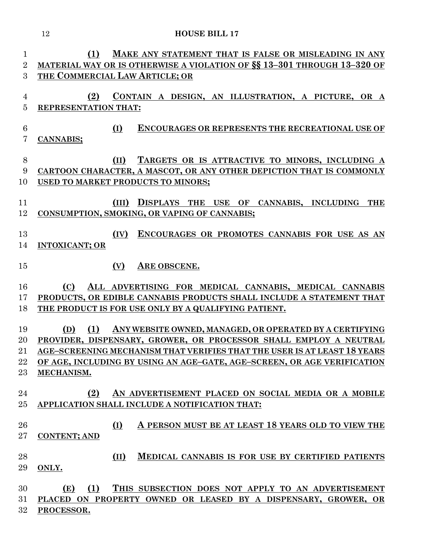| $\mathbf{1}$    | MAKE ANY STATEMENT THAT IS FALSE OR MISLEADING IN ANY<br>(1)             |
|-----------------|--------------------------------------------------------------------------|
| $\overline{2}$  | MATERIAL WAY OR IS OTHERWISE A VIOLATION OF SS 13-301 THROUGH 13-320 OF  |
| 3               | THE COMMERCIAL LAW ARTICLE; OR                                           |
|                 |                                                                          |
| 4               | (2)<br>CONTAIN A DESIGN, AN ILLUSTRATION, A PICTURE, OR A                |
| $\overline{5}$  | REPRESENTATION THAT:                                                     |
|                 |                                                                          |
| $6\phantom{.}6$ | (I)<br><b>ENCOURAGES OR REPRESENTS THE RECREATIONAL USE OF</b>           |
| 7               | CANNABIS;                                                                |
|                 |                                                                          |
| $8\,$           | TARGETS OR IS ATTRACTIVE TO MINORS, INCLUDING A<br>(II)                  |
| 9               | CARTOON CHARACTER, A MASCOT, OR ANY OTHER DEPICTION THAT IS COMMONLY     |
| 10              | USED TO MARKET PRODUCTS TO MINORS;                                       |
| 11              | DISPLAYS THE USE OF CANNABIS, INCLUDING<br>(III)<br><b>THE</b>           |
| 12              | CONSUMPTION, SMOKING, OR VAPING OF CANNABIS;                             |
|                 |                                                                          |
| 13              | ENCOURAGES OR PROMOTES CANNABIS FOR USE AS AN<br>(IV)                    |
| 14              | <b>INTOXICANT; OR</b>                                                    |
|                 |                                                                          |
| 15              | (V)<br>ARE OBSCENE.                                                      |
|                 |                                                                          |
| 16              | ALL ADVERTISING FOR MEDICAL CANNABIS, MEDICAL CANNABIS<br>(C)            |
| 17              | PRODUCTS, OR EDIBLE CANNABIS PRODUCTS SHALL INCLUDE A STATEMENT THAT     |
| 18              | THE PRODUCT IS FOR USE ONLY BY A QUALIFYING PATIENT.                     |
|                 |                                                                          |
| 19              | (1)<br>ANY WEBSITE OWNED, MANAGED, OR OPERATED BY A CERTIFYING<br>(D)    |
| 20              | PROVIDER, DISPENSARY, GROWER, OR PROCESSOR SHALL EMPLOY A NEUTRAL        |
| 21              | AGE-SCREENING MECHANISM THAT VERIFIES THAT THE USER IS AT LEAST 18 YEARS |
| 22              | OF AGE, INCLUDING BY USING AN AGE-GATE, AGE-SCREEN, OR AGE VERIFICATION  |
| 23              | MECHANISM.                                                               |
|                 |                                                                          |
| 24              | AN ADVERTISEMENT PLACED ON SOCIAL MEDIA OR A MOBILE<br>(2)               |
| 25              | APPLICATION SHALL INCLUDE A NOTIFICATION THAT:                           |
|                 |                                                                          |
| 26<br>27        | A PERSON MUST BE AT LEAST 18 YEARS OLD TO VIEW THE<br>(I)                |
|                 | <b>CONTENT; AND</b>                                                      |
| 28              | (II)<br><b>MEDICAL CANNABIS IS FOR USE BY CERTIFIED PATIENTS</b>         |
| 29              | ONLY.                                                                    |
|                 |                                                                          |
| 30              | (1)<br>THIS SUBSECTION DOES NOT APPLY TO AN ADVERTISEMENT<br>(E)         |
| 31              | PLACED ON PROPERTY OWNED OR LEASED BY A DISPENSARY, GROWER, OR           |
| 32              | PROCESSOR.                                                               |